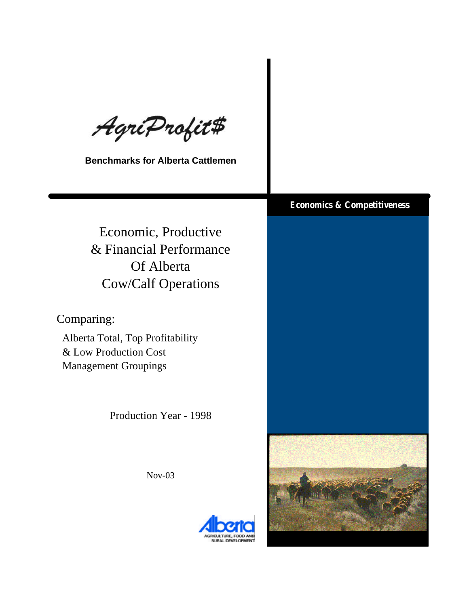AgriProfit#

**Benchmarks for Alberta Cattlemen**

Economic, Productive & Financial Performance Of Alberta Cow/Calf Operations

Comparing:

Alberta Total, Top Profitability & Low Production Cost Management Groupings

Production Year - 1998

Nov-03

## **Economics & Competitiveness**



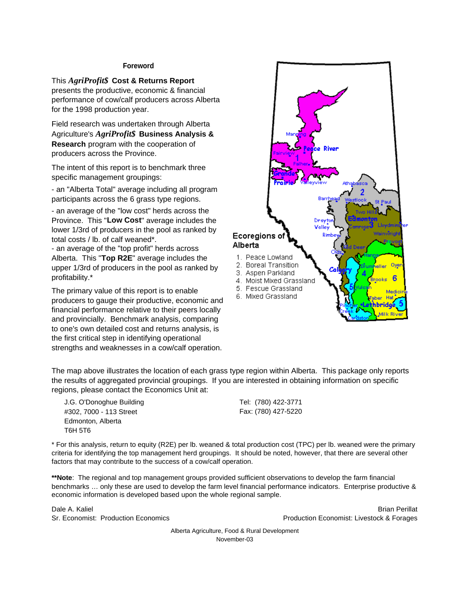#### **Foreword**

This *AgriProfit\$* **Cost & Returns Report**  presents the productive, economic & financial performance of cow/calf producers across Alberta for the 1998 production year.

Field research was undertaken through Alberta Agriculture's *AgriProfit\$* **Business Analysis & Research** program with the cooperation of producers across the Province.

The intent of this report is to benchmark three specific management groupings:

- an "Alberta Total" average including all program participants across the 6 grass type regions.

- an average of the "low cost" herds across the Province. This "**Low Cost**" average includes the lower 1/3rd of producers in the pool as ranked by total costs / lb. of calf weaned\*.

- an average of the "top profit" herds across Alberta. This "**Top R2E**" average includes the upper 1/3rd of producers in the pool as ranked by profitability.\*

The primary value of this report is to enable producers to gauge their productive, economic and financial performance relative to their peers locally and provincially. Benchmark analysis, comparing to one's own detailed cost and returns analysis, is the first critical step in identifying operational strengths and weaknesses in a cow/calf operation.



The map above illustrates the location of each grass type region within Alberta. This package only reports the results of aggregated provincial groupings. If you are interested in obtaining information on specific regions, please contact the Economics Unit at:

J.G. O'Donoghue Building #302, 7000 - 113 Street Edmonton, Alberta T6H 5T6

Tel: (780) 422-3771 Fax: (780) 427-5220

\* For this analysis, return to equity (R2E) per lb. weaned & total production cost (TPC) per lb. weaned were the primary criteria for identifying the top management herd groupings. It should be noted, however, that there are several other factors that may contribute to the success of a cow/calf operation.

**\*\*Note**: The regional and top management groups provided sufficient observations to develop the farm financial benchmarks … only these are used to develop the farm level financial performance indicators. Enterprise productive & economic information is developed based upon the whole regional sample.

Dale A. Kaliel Brian Perillat Sr. Economist: Production Economics Production Economist: Livestock & Forages

> Alberta Agriculture, Food & Rural Development November-03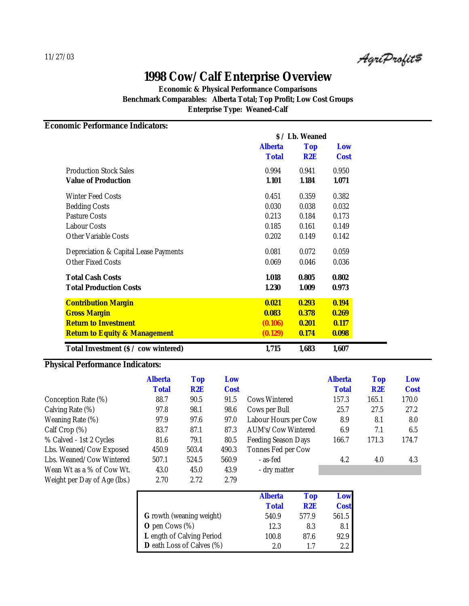AgriProfit#

**Economic & Physical Performance Comparisons Benchmark Comparables: Alberta Total; Top Profit; Low Cost Groups Enterprise Type: Weaned-Calf**

**Economic Performance Indicators:**

|                                          |              | <i><b>S</b> / Lb. Weaned</i> |             |  |  |
|------------------------------------------|--------------|------------------------------|-------------|--|--|
|                                          | Alberta      | <b>Top</b>                   | Low         |  |  |
|                                          | <b>Total</b> | R2E                          | <b>Cost</b> |  |  |
| <b>Production Stock Sales</b>            | 0.994        | 0.941                        | 0.950       |  |  |
| <b>Value of Production</b>               | 1.101        | 1.184                        | 1.071       |  |  |
| <b>Winter Feed Costs</b>                 | 0.451        | 0.359                        | 0.382       |  |  |
| <b>Bedding Costs</b>                     | 0.030        | 0.038                        | 0.032       |  |  |
| <b>Pasture Costs</b>                     | 0.213        | 0.184                        | 0.173       |  |  |
| <b>Labour Costs</b>                      | 0.185        | 0.161                        | 0.149       |  |  |
| <b>Other Variable Costs</b>              | 0.202        | 0.149                        | 0.142       |  |  |
| Depreciation & Capital Lease Payments    | 0.081        | 0.072                        | 0.059       |  |  |
| <b>Other Fixed Costs</b>                 | 0.069        | 0.046                        | 0.036       |  |  |
| <b>Total Cash Costs</b>                  | 1.018        | 0.805                        | 0.802       |  |  |
| <b>Total Production Costs</b>            | 1.230        | 1.009                        | 0.973       |  |  |
| <b>Contribution Margin</b>               | 0.021        | 0.293                        | 0.194       |  |  |
| <b>Gross Margin</b>                      | 0.083        | 0.378                        | 0.269       |  |  |
| <b>Return to Investment</b>              | (0.106)      | 0.201                        | 0.117       |  |  |
| <b>Return to Equity &amp; Management</b> | (0.129)      | 0.174                        | 0.098       |  |  |
| Total Investment (\$ / cow wintered)     | 1,715        | 1,683                        | 1,607       |  |  |

### **Physical Performance Indicators:**

|                              | <b>Alberta</b> | Top   | Low         |                            | <b>Alberta</b> | <b>Top</b> | Low         |
|------------------------------|----------------|-------|-------------|----------------------------|----------------|------------|-------------|
|                              | <b>Total</b>   | R2E   | <b>Cost</b> |                            | <b>Total</b>   | R2E        | <b>Cost</b> |
| Conception Rate (%)          | 88.7           | 90.5  | 91.5        | Cows Wintered              | 157.3          | 165.1      | 170.0       |
| Calving Rate (%)             | 97.8           | 98.1  | 98.6        | Cows per Bull              | 25.7           | 27.5       | 27.2        |
| Weaning Rate (%)             | 97.9           | 97.6  | 97.0        | Labour Hours per Cow       | 8.9            | 8.1        | 8.0         |
| Calf Crop $(\%)$             | 83.7           | 87.1  | 87.3        | <b>AUM's/Cow Wintered</b>  | 6.9            | 7.1        | 6.5         |
| % Calved - 1st 2 Cycles      | 81.6           | 79.1  | 80.5        | <b>Feeding Season Days</b> | 166.7          | 171.3      | 174.7       |
| Lbs. Weaned/Cow Exposed      | 450.9          | 503.4 | 490.3       | Tonnes Fed per Cow         |                |            |             |
| Lbs. Weaned/Cow Wintered     | 507.1          | 524.5 | 560.9       | - as-fed                   | 4.2            | 4.0        | 4.3         |
| Wean Wt as a % of Cow Wt.    | 43.0           | 45.0  | 43.9        | - dry matter               |                |            |             |
| Weight per Day of Age (lbs.) | 2.70           | 2.72  | 2.79        |                            |                |            |             |

|                                  | <b>Alberta</b> | <b>Top</b> | Low         |
|----------------------------------|----------------|------------|-------------|
|                                  | <b>Total</b>   | R2E        | <b>Cost</b> |
| <b>G</b> rowth (weaning weight)  | 540.9          | 577.9      | 561.5       |
| <b>O</b> pen Cows $(\%)$         | 12.3           | 8.3        | 8.1         |
| L ength of Calving Period        | 100.8          | 87.6       | 92.9        |
| <b>D</b> eath Loss of Calves (%) | 20             |            | 2.2         |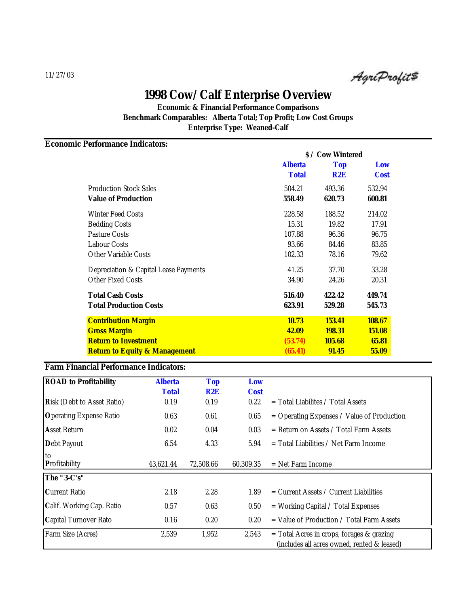AgriProfit#

**Economic & Financial Performance Comparisons Benchmark Comparables: Alberta Total; Top Profit; Low Cost Groups Enterprise Type: Weaned-Calf**

### **Economic Performance Indicators:**

|                                          | <i><b>S / Cow Wintered</b></i> |               |             |
|------------------------------------------|--------------------------------|---------------|-------------|
|                                          | <b>Alberta</b>                 | <b>Top</b>    | Low         |
|                                          | <b>Total</b>                   | R2E           | <b>Cost</b> |
| <b>Production Stock Sales</b>            | 504.21                         | 493.36        | 532.94      |
| <b>Value of Production</b>               | 558.49                         | 620.73        | 600.81      |
| <b>Winter Feed Costs</b>                 | 228.58                         | 188.52        | 214.02      |
| <b>Bedding Costs</b>                     | 15.31                          | 19.82         | 17.91       |
| <b>Pasture Costs</b>                     | 107.88                         | 96.36         | 96.75       |
| <b>Labour Costs</b>                      | 93.66                          | 84.46         | 83.85       |
| <b>Other Variable Costs</b>              | 102.33                         | 78.16         | 79.62       |
| Depreciation & Capital Lease Payments    | 41.25                          | 37.70         | 33.28       |
| <b>Other Fixed Costs</b>                 | 34.90                          | 24.26         | 20.31       |
| <b>Total Cash Costs</b>                  | 516.40                         | 422.42        | 449.74      |
| <b>Total Production Costs</b>            | 623.91                         | 529.28        | 545.73      |
| <b>Contribution Margin</b>               | <b>10.73</b>                   | 153.41        | 108.67      |
| <b>Gross Margin</b>                      | 42.09                          | <b>198.31</b> | 151.08      |
| <b>Return to Investment</b>              | (53.74)                        | 105.68        | 65.81       |
| <b>Return to Equity &amp; Management</b> | (65.41)                        | 91.45         | 55.09       |

#### **Farm Financial Performance Indicators:**

| <b>ROAD</b> to Profitability      | <b>Alberta</b> | <b>Top</b> | Low         |                                                                                            |
|-----------------------------------|----------------|------------|-------------|--------------------------------------------------------------------------------------------|
|                                   | <b>Total</b>   | R2E        | <b>Cost</b> |                                                                                            |
| <b>Risk (Debt to Asset Ratio)</b> | 0.19           | 0.19       | 0.22        | $=$ Total Liabilites / Total Assets                                                        |
| <b>Operating Expense Ratio</b>    | 0.63           | 0.61       | 0.65        | $=$ Operating Expenses / Value of Production                                               |
| <b>Asset Return</b>               | 0.02           | 0.04       | 0.03        | $=$ Return on Assets / Total Farm Assets                                                   |
| Debt Payout                       | 6.54           | 4.33       | 5.94        | $=$ Total Liabilities / Net Farm Income                                                    |
| to<br><b>Profitability</b>        | 43,621.44      | 72.508.66  | 60.309.35   | $=$ Net Farm Income                                                                        |
| The "3-C's"                       |                |            |             |                                                                                            |
| <b>Current Ratio</b>              | 2.18           | 2.28       | 1.89        | $=$ Current Assets / Current Liabilities                                                   |
| Calif. Working Cap. Ratio         | 0.57           | 0.63       | 0.50        | $=$ Working Capital / Total Expenses                                                       |
| <b>Capital Turnover Rato</b>      | 0.16           | 0.20       | 0.20        | $=$ Value of Production / Total Farm Assets                                                |
| Farm Size (Acres)                 | 2,539          | 1,952      | 2,543       | $=$ Total Acres in crops, forages & grazing<br>(includes all acres owned, rented & leased) |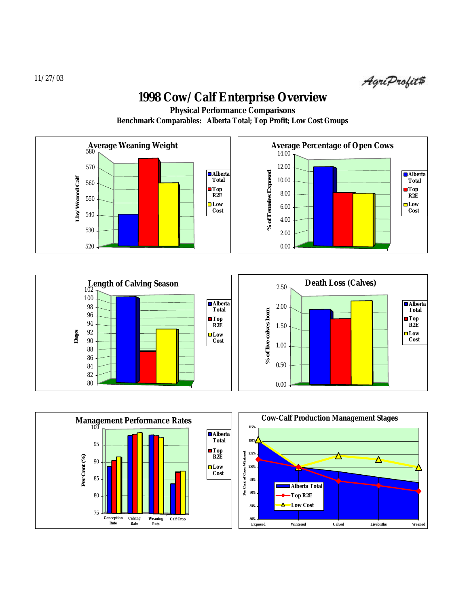AgriProfit\$

**Physical Performance Comparisons**

**Benchmark Comparables: Alberta Total; Top Profit; Low Cost Groups**







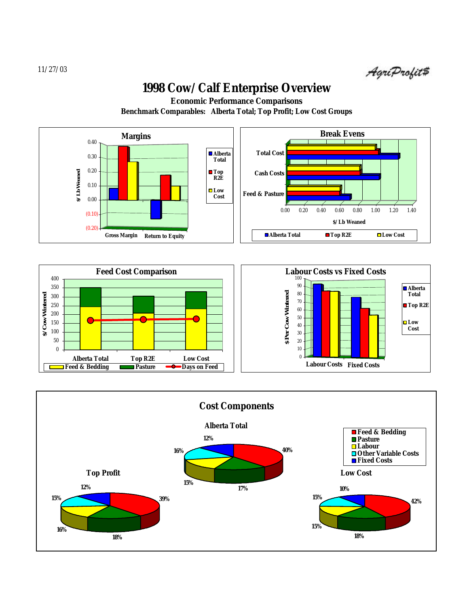AgriProfit#

**Benchmark Comparables: Alberta Total; Top Profit; Low Cost Groups Economic Performance Comparisons**





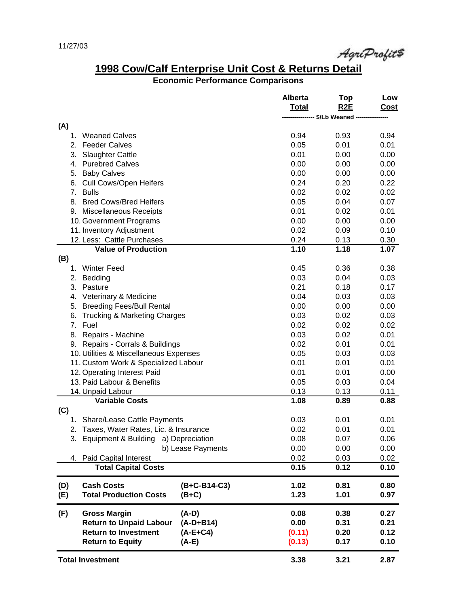AgriProfit#

## **1998 Cow/Calf Enterprise Unit Cost & Returns Detail**

### **Economic Performance Comparisons**

|                                                 | <b>Alberta</b> | Top          | Low         |
|-------------------------------------------------|----------------|--------------|-------------|
|                                                 | <b>Total</b>   | <b>R2E</b>   | <b>Cost</b> |
|                                                 |                | \$/Lb Weaned |             |
| (A)                                             |                |              |             |
| <b>Weaned Calves</b><br>1.                      | 0.94           | 0.93         | 0.94        |
| 2.<br><b>Feeder Calves</b>                      | 0.05           | 0.01         | 0.01        |
| 3.<br><b>Slaughter Cattle</b>                   | 0.01           | 0.00         | 0.00        |
| <b>Purebred Calves</b><br>4.                    | 0.00           | 0.00         | 0.00        |
| <b>Baby Calves</b><br>5.                        | 0.00           | 0.00         | 0.00        |
| <b>Cull Cows/Open Heifers</b><br>6.             | 0.24           | 0.20         | 0.22        |
| 7 <sub>1</sub><br><b>Bulls</b>                  | 0.02           | 0.02         | 0.02        |
| 8.<br><b>Bred Cows/Bred Heifers</b>             | 0.05           | 0.04         | 0.07        |
| 9. Miscellaneous Receipts                       | 0.01           | 0.02         | 0.01        |
| 10. Government Programs                         | 0.00           | 0.00         | 0.00        |
| 11. Inventory Adjustment                        | 0.02           | 0.09         | 0.10        |
| 12. Less: Cattle Purchases                      | 0.24           | 0.13         | 0.30        |
| <b>Value of Production</b>                      | 1.10           | 1.18         | 1.07        |
| (B)                                             |                |              |             |
| <b>Winter Feed</b><br>1.                        | 0.45           | 0.36         | 0.38        |
| 2.<br>Bedding                                   | 0.03           | 0.04         | 0.03        |
| 3.<br>Pasture                                   | 0.21           | 0.18         | 0.17        |
| Veterinary & Medicine<br>4.                     | 0.04           | 0.03         | 0.03        |
| <b>Breeding Fees/Bull Rental</b><br>5.          | 0.00           | 0.00         | 0.00        |
| 6.<br><b>Trucking &amp; Marketing Charges</b>   | 0.03           | 0.02         | 0.03        |
| 7.<br>Fuel                                      | 0.02           | 0.02         | 0.02        |
| Repairs - Machine<br>8.                         | 0.03           | 0.02         | 0.01        |
| Repairs - Corrals & Buildings<br>9.             | 0.02           | 0.01         | 0.01        |
| 10. Utilities & Miscellaneous Expenses          | 0.05           | 0.03         | 0.03        |
| 11. Custom Work & Specialized Labour            | 0.01           | 0.01         | 0.01        |
| 12. Operating Interest Paid                     | 0.01           | 0.01         | 0.00        |
| 13. Paid Labour & Benefits                      | 0.05           | 0.03         | 0.04        |
| 14. Unpaid Labour                               | 0.13           | 0.13         | 0.11        |
| <b>Variable Costs</b>                           | 1.08           | 0.89         | 0.88        |
| (C)                                             |                |              |             |
| <b>Share/Lease Cattle Payments</b><br>1.        | 0.03           | 0.01         | 0.01        |
| 2. Taxes, Water Rates, Lic. & Insurance         | 0.02           | 0.01         | 0.01        |
| 3. Equipment & Building a) Depreciation         | 0.08           | 0.07         | 0.06        |
| b) Lease Payments                               | 0.00           | 0.00         | 0.00        |
| 4. Paid Capital Interest                        | 0.02           | 0.03         | 0.02        |
| <b>Total Capital Costs</b>                      | 0.15           | 0.12         | 0.10        |
|                                                 |                |              |             |
| <b>Cash Costs</b><br>(B+C-B14-C3)<br>(D)        | 1.02           | 0.81         | 0.80        |
| <b>Total Production Costs</b><br>(E)<br>$(B+C)$ | 1.23           | 1.01         | 0.97        |
|                                                 |                |              |             |
| (F)<br><b>Gross Margin</b><br>$(A-D)$           | 0.08           | 0.38         | 0.27        |
| <b>Return to Unpaid Labour</b><br>$(A-D+B14)$   | 0.00           | 0.31         | 0.21        |
| <b>Return to Investment</b><br>(A-E+C4)         | (0.11)         | 0.20         | 0.12        |
| <b>Return to Equity</b><br>(A-E)                | (0.13)         | 0.17         | 0.10        |
|                                                 |                |              |             |
| <b>Total Investment</b>                         | 3.38           | 3.21         | 2.87        |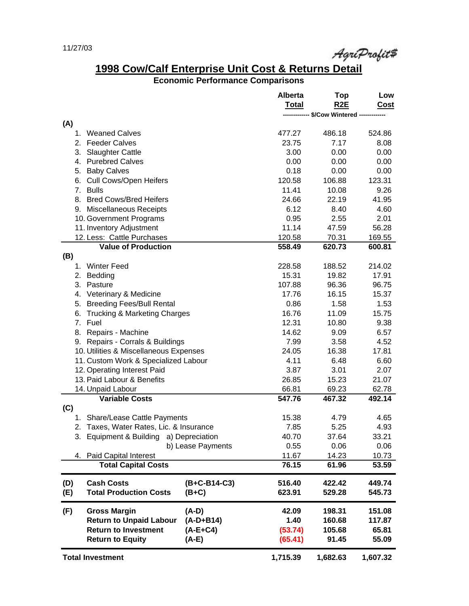AgriProfit#

# **1998 Cow/Calf Enterprise Unit Cost & Returns Detail**

## **Economic Performance Comparisons**

|                                        |                                         |                   | <b>Alberta</b> | Top                               | Low      |
|----------------------------------------|-----------------------------------------|-------------------|----------------|-----------------------------------|----------|
|                                        |                                         |                   | <b>Total</b>   | R <sub>2</sub> E                  | Cost     |
|                                        |                                         |                   |                | -------- \$/Cow Wintered -------- |          |
| (A)                                    |                                         |                   |                |                                   |          |
|                                        | 1. Weaned Calves                        |                   | 477.27         | 486.18                            | 524.86   |
|                                        | 2. Feeder Calves                        |                   | 23.75          | 7.17                              | 8.08     |
| 3.                                     | <b>Slaughter Cattle</b>                 |                   | 3.00           | 0.00                              | 0.00     |
|                                        | 4. Purebred Calves                      |                   | 0.00           | 0.00                              | 0.00     |
|                                        | 5. Baby Calves                          |                   | 0.18           | 0.00                              | 0.00     |
| 6.                                     | Cull Cows/Open Heifers                  |                   | 120.58         | 106.88                            | 123.31   |
|                                        | 7. Bulls                                |                   | 11.41          | 10.08                             | 9.26     |
|                                        | 8. Bred Cows/Bred Heifers               |                   | 24.66          | 22.19                             | 41.95    |
|                                        | 9. Miscellaneous Receipts               |                   | 6.12           | 8.40                              | 4.60     |
|                                        | 10. Government Programs                 |                   | 0.95           | 2.55                              | 2.01     |
|                                        | 11. Inventory Adjustment                |                   | 11.14          | 47.59                             | 56.28    |
|                                        | 12. Less: Cattle Purchases              |                   | 120.58         | 70.31                             | 169.55   |
|                                        | <b>Value of Production</b>              |                   | 558.49         | 620.73                            | 600.81   |
| (B)                                    |                                         |                   |                |                                   |          |
| 1.                                     | Winter Feed                             |                   | 228.58         | 188.52                            | 214.02   |
| 2.                                     | Bedding                                 |                   | 15.31          | 19.82                             | 17.91    |
| 3.                                     | Pasture                                 |                   | 107.88         | 96.36                             | 96.75    |
| 4.                                     | Veterinary & Medicine                   |                   | 17.76          | 16.15                             | 15.37    |
|                                        | 5. Breeding Fees/Bull Rental            |                   | 0.86           | 1.58                              | 1.53     |
| 6.                                     | <b>Trucking &amp; Marketing Charges</b> |                   | 16.76          | 11.09                             | 15.75    |
|                                        | 7. Fuel                                 |                   | 12.31          | 10.80                             | 9.38     |
| 8.                                     | Repairs - Machine                       |                   | 14.62          | 9.09                              | 6.57     |
|                                        | 9. Repairs - Corrals & Buildings        | 7.99              | 3.58           | 4.52                              |          |
| 10. Utilities & Miscellaneous Expenses |                                         |                   | 24.05          | 16.38                             | 17.81    |
| 11. Custom Work & Specialized Labour   |                                         |                   | 4.11           | 6.48                              | 6.60     |
|                                        | 12. Operating Interest Paid             |                   | 3.87           | 3.01                              | 2.07     |
|                                        | 13. Paid Labour & Benefits              |                   | 26.85          | 15.23                             | 21.07    |
|                                        |                                         |                   | 66.81          |                                   | 62.78    |
|                                        | 14. Unpaid Labour                       |                   | 547.76         | 69.23                             | 492.14   |
|                                        | <b>Variable Costs</b>                   |                   |                | 467.32                            |          |
| (C)                                    |                                         |                   |                |                                   |          |
|                                        | 1. Share/Lease Cattle Payments          |                   | 15.38          | 4.79                              | 4.65     |
|                                        | 2. Taxes, Water Rates, Lic. & Insurance |                   | 7.85           | 5.25                              | 4.93     |
|                                        | 3. Equipment & Building a) Depreciation |                   | 40.70          | 37.64                             | 33.21    |
|                                        |                                         | b) Lease Payments | 0.55           | 0.06                              | 0.06     |
|                                        | 4. Paid Capital Interest                |                   | 11.67          | 14.23                             | 10.73    |
|                                        | <b>Total Capital Costs</b>              |                   | 76.15          | 61.96                             | 53.59    |
| (D)                                    | <b>Cash Costs</b>                       | (B+C-B14-C3)      | 516.40         | 422.42                            | 449.74   |
| (E)                                    | <b>Total Production Costs</b>           | $(B+C)$           | 623.91         | 529.28                            | 545.73   |
| (F)                                    | <b>Gross Margin</b>                     | $(A-D)$           | 42.09          | 198.31                            | 151.08   |
|                                        | <b>Return to Unpaid Labour</b>          | $(A-D+B14)$       | 1.40           | 160.68                            | 117.87   |
|                                        | <b>Return to Investment</b>             | $(A-E+C4)$        | (53.74)        | 105.68                            | 65.81    |
|                                        |                                         |                   |                |                                   |          |
|                                        | <b>Return to Equity</b>                 | (A-E)             | (65.41)        | 91.45                             | 55.09    |
|                                        | <b>Total Investment</b>                 |                   | 1,715.39       | 1,682.63                          | 1,607.32 |